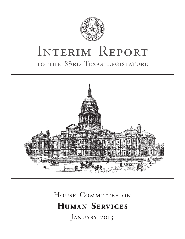

# INTERIM REPORT to the 83rd Texas Legislature



# HOUSE COMMITTEE ON **HUMAN SERVICES** JANUARY 2013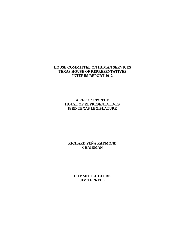# **HOUSE COMMITTEE ON HUMAN SERVICES TEXAS HOUSE OF REPRESENTATIVES INTERIM REPORT 2012**

# **A REPORT TO THE HOUSE OF REPRESENTATIVES 83RD TEXAS LEGISLATURE**

# **RICHARD PEÑA RAYMOND CHAIRMAN**

**COMMITTEE CLERK JIM TERRELL**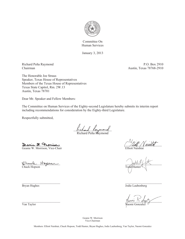

Committee On Human Services

January 3, 2013

Richard Peña Raymond P.O. Box 2910 Chairman Austin, Texas 78768-2910

The Honorable Joe Straus Speaker, Texas House of Representatives Members of the Texas House of Representatives Texas State Capitol, Rm. 2W.13 Austin, Texas 78701

Dear Mr. Speaker and Fellow Members:

The Committee on Human Services of the Eighty-second Legislature hereby submits its interim report including recommendations for consideration by the Eighty-third Legislature.

Respectfully submitted,

fictional Laymond

Richard Peña R<sup>u</sup>aymond

Deanie 21, Francisar Geanie W. Morrison, Vice-Chair **Elliott Naishtat** Elliott Naishtat

Chuck Hopson Todd Hunter

\_\_\_\_\_\_\_\_\_\_\_\_\_\_\_\_\_\_\_\_\_\_\_ \_\_\_\_\_\_\_\_\_\_\_\_\_\_\_\_\_\_\_\_\_\_ Bryan Hughes Jodie Laubenberg

 $\nu$  above  $\lambda$  -  $\Delta$  above  $\lambda$  -  $\Delta$  above  $\lambda$ Van Taylor Naomi Gonzalez

Geanie W. Morrison Vice-Chairman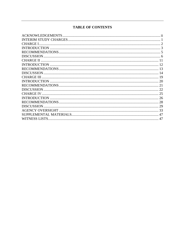# **TABLE OF CONTENTS**

| CHARGE III. |  |
|-------------|--|
|             |  |
|             |  |
|             |  |
|             |  |
|             |  |
|             |  |
|             |  |
|             |  |
|             |  |
|             |  |
|             |  |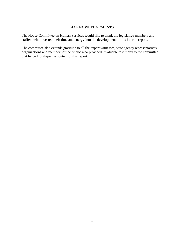# **ACKNOWLEDGEMENTS**

The House Committee on Human Services would like to thank the legislative members and staffers who invested their time and energy into the development of this interim report.

The committee also extends gratitude to all the expert witnesses, state agency representatives, organizations and members of the public who provided invaluable testimony to the committee that helped to shape the content of this report.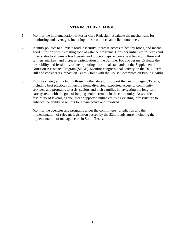# **INTERIM STUDY CHARGES**

- 1. Monitor the implementation of Foster Care Redesign. Evaluate the mechanisms for monitoring and oversight, including rates, contracts, and client outcomes.
- 2. Identify policies to alleviate food insecurity, increase access to healthy foods, and incent good nutrition within existing food assistance programs. Consider initiatives in Texas and other states to eliminate food deserts and grocery gaps, encourage urban agriculture and farmers' markets, and increase participation in the Summer Food Program. Evaluate the desirability and feasibility of incorporating nutritional standards in the Supplemental Nutrition Assistance Program (SNAP). Monitor congressional activity on the 2012 Farm Bill and consider its impact on Texas. (Joint with the House Committee on Public Health)
- 3. Explore strategies, including those in other states, to support the needs of aging Texans, including best practices in nursing home diversion, expedited access to community services, and programs to assist seniors and their families in navigating the long-term care system, with the goal of helping seniors remain in the community. Assess the feasibility of leveraging volunteer-supported initiatives using existing infrastructure to enhance the ability of seniors to remain active and involved.
- 4. Monitor the agencies and programs under the committee's jurisdiction and the implementation of relevant legislation passed by the 82nd Legislature, including the implementation of managed care in South Texas.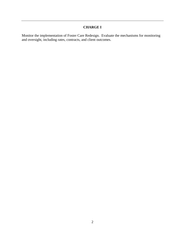# **CHARGE I**

Monitor the implementation of Foster Care Redesign. Evaluate the mechanisms for monitoring and oversight, including rates, contracts, and client outcomes.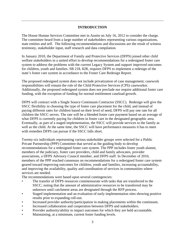# **INTRODUCTION**

The House Human Services Committee met in Austin on July 16, 2012 to consider the charge. The committee heard from a large number of stakeholders representing various organizations, state entities and self. The following recommendations and discussions are the result of witness testimony, stakeholder input, staff research and data compilation.

In January 2010, the Department of Family and Protective Services (DFPS) joined other child welfare stakeholders in a united effort to develop recommendations for a redesigned foster care system to address the problems with the current Legacy System and support improved outcomes for children, youth and families. SB 218, 82R, requires DFPS to implement a redesign of the state's foster care system in accordance to the Foster Care Redesign Report.

The proposed redesigned system does not include privatization of case management; casework responsibilities will remain the role of the Child Protective Services (CPS) caseworker. Additionally, the proposed redesigned system does not preclude nor require additional foster care funding, with the exception of funding for normal entitlement caseload growth.

DFPS will contract with a Single Source Continuum Contractor (SSCC). Redesign will give the SSCC flexibility in choosing the type of foster care placement for the child, and instead of paying different rates for children based on their level of need, DFPS will pay one rate for all children the SSCC serves. The rate will be a blended foster care payment based on an average of what DFPS is currently paying for children in foster care in the designated geographic area. Eventually, as part of a staged implementation, the SSCC will provide services to the family as well as the child. At the same time, the SSCC will have performance measures it has to meet with remedies DFPS can pursue if the SSCC falls short.

Twenty-six individuals representing various stakeholder groups were selected for a Public Private Partnership (PPP) Committee that served as the guiding body to develop recommendations for a redesigned foster care system. The PPP includes foster youth alumni, members of the judiciary, foster care providers, child and family advocates, provider associations, a DFPS Advisory Council member, and DFPS staff. In December of 2010, members of the PPP reached consensus on recommendations for a redesigned foster care system geared toward improving outcomes for children, youth and families, increasing accountability, and improving the availability, quality and coordination of services in communities where services are needed.

The recommendations were based upon several contingencies:

- The transfer of DFPS resources commensurate with tasks that are transferred to the SSCC; noting that the amount of administrative resources to be transferred may be unknown until catchment areas are designated through the RFP process.
- Staged implementation and an evaluation of early implementation sites showing positive results prior to expanding roll-out.
- Increased provider authority/participation in making placements within the continuum.
- Increased collaboration and cooperation between DFPS and stakeholders.
- Provider authority/ability to impact outcomes for which they are held accountable.
- Maintaining, at a minimum, current foster funding levels.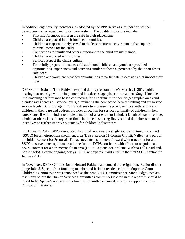In addition, eight quality indicators, as adopted by the PPP, serve as a foundation for the development of a redesigned foster care system. The quality indicators include:

- First and foremost, children are safe in their placements.
- Children are placed in their home communities.
- Children are appropriately served in the least restrictive environment that supports minimal moves for the child.
- Connections to family and others important to the child are maintained.
- Children are placed with siblings.
- Services respect the child's culture.
- To be fully prepared for successful adulthood, children and youth are provided opportunities, experiences and activities similar to those experienced by their non-foster care peers.
- Children and youth are provided opportunities to participate in decisions that impact their lives.

DFPS Commissioner Tom Baldwin testified during the committee's March 21, 2012 public hearing that redesign will be implemented in a three stage, phased-in manner: Stage I includes implementing performance based contracting for a continuum in specific geographic areas and blended rates across all service levels, eliminating the connection between billing and authorized service levels. During Stage II DFPS will seek to increase the providers' role with family and children in their care and address provider allocation for services to family of children in their care. Stage III will include the implementation of a case rate to include a length of stay incentive, a hold harmless clause in regard to financial remedies during first year and the reinvestment of incentives to further improve outcomes for children in foster care.

On August 9, 2012, DFPS announced that it will not award a single source continuum contract (SSCC) for a metropolitan catchment area (DFPS Region 11-Corpus Christi, Valley) as a part of the initial Request for Proposal. The agency intends to move forward with procuring for an SSCC to serve a metropolitan area in the future. DFPS continues with efforts to negotiate an SSCC contract for a non-metropolitan area (DFPS Regions 2/9-Abilene, Wichita Falls, Midland, San Angelo). Despite ongoing delays, DFPS anticipates it will execute the first SSCC contract in January 2013.

In November, DFPS Commissioner Howard Baldwin announced his resignation. Senior district judge John J. Specia, Jr., a founding member and jurist in residence for the Supreme Court Children's Commission was announced as the new DFPS Commissioner. Since Judge Specia's testimony before the Human Services Committee (committee) is cited in this report, it should be noted Judge Specia's appearance before the committee occurred prior to his appointment as DFPS Commissioner.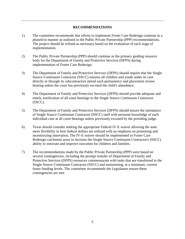## **RECOMMENDATIONS**

- 1) The committee recommends that efforts to implement Foster Care Redesign continue in a phased-in manner as outlined in the Public Private Partnership (PPP) recommendations. The project should be refined as necessary based on the evaluation of each stage of implementation.
- 2) The Public Private Partnership (PPP) should continue as the primary guiding resource body for the Department of Family and Protective Services (DFPS) during implementation of Foster Care Redesign.
- 3) The Department of Family and Protective Services (DFPS) should require that the Single Source Continuum Contractor (SSCC) ensures all children and youth under its care directly or through its subcontractors attend each permanency and placement review hearing unless the court has previously excused the child's attendance.
- 4) The Department of Family and Protective Services (DFPS) should provide adequate and timely notification of all court hearings to the Single Source Continuum Contractor (SSCC).
- 5) The Department of Family and Protective Services (DFPS) should ensure the attendance of Single Source Continuum Contractor (SSCC) staff with personal knowledge of each individual case at all court hearings unless previously excused by the presiding judge.
- 6) Texas should consider seeking the appropriate Federal IV-E waiver allowing the state more flexibility in how federal dollars are utilized with an emphasis on promoting and incentivizing innovation. The IV-E waiver should be implemented in Foster Care Redesign catchment areas to increase the Single Source Continuum Contractor's (SSCC) ability to innovate and improve outcomes for children and families.
- 7) The recommendations made by the Public Private Partnership (PPP) were based on several contingencies, including the prompt transfer of Department of Family and Protective Services (DFPS) resources commensurate with tasks that are transferred to the Single Source Continuum Contractor (SSCC) and maintaining, at a minimum, current foster funding levels. The committee recommends the Legislature ensure these contingencies are met.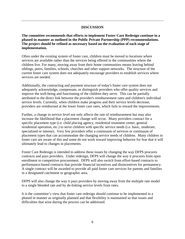## **DISCUSSION**

**The committee recommends that efforts to implement Foster Care Redesign continue in a phased-in manner as outlined in the Public Private Partnership (PPP) recommendations. The project should be refined as necessary based on the evaluation of each stage of implementation.** 

Often under the existing system of foster care, children must be moved to locations where services are available rather than the services being offered in the communities where the children live. For many, moving away from their home communities means leaving behind siblings, peers, families, schools, churches and other support networks. The structure of the current foster care system does not adequately encourage providers to establish services where services are needed.

Additionally, the contracting and payment structure of today's foster care system does not adequately acknowledge, compensate, or distinguish providers who offer quality services and improve the well-being and functioning of the children they serve. This can be partially attributed to the direct link between the provider's reimbursement rates and children's individual service levels. Currently, when children make progress and their service levels decrease, providers are reimbursed at the lower foster care rates, which fails to reward the improvements.

Further, a change in service level not only affects the rate of reimbursement but may also increase the likelihood that a placement change will occur. Many providers contract for a specific placement type (i.e. child placing agency, residential treatment center, general residential operation, etc.) to serve children with specific service needs (i.e. basic, moderate, specialized or intense). Very few providers offer a continuum of services or continuum of placement types that can accommodate the changing service needs of children. Many children in foster care are aware of this and some do not work toward improving behavior for fear that it will ultimately lead to changes in placements.

Foster Care Redesign is intended to address these issues by changing the way DFPS procures contracts and pays providers. Under redesign, DFPS will change the way it procures from open enrollment to competitive procurement. DFPS will also switch from effort-based contracts to performance-based contracts that provide financial incentives and disincentives for permanency. A single contract will be awarded to provide all paid foster care services for parents and families in a designated catchment or geographic area.

DFPS will also change the way it pays providers by moving away from the multiple rate model to a single blended rate and by de-linking service levels from rates.

It is the committee's view that foster care redesign should continue to be implemented in a phased in manner as originally planned and that flexibility is maintained so that issues and difficulties that arise during the process can be addressed.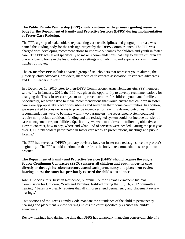# **The Public Private Partnership (PPP) should continue as the primary guiding resource body for the Department of Family and Protective Services (DFPS) during implementation of Foster Care Redesign.**

The PPP, a group of stakeholders representing various disciplines and geographic areas, was named the guiding body for the redesign project by the DFPS Commissioner. The PPP was charged with developing recommendations to improve outcomes for children and youth in foster care. The PPP was asked specifically to make recommendations that help to ensure children are placed close to home in the least restrictive settings with siblings, and experience a minimum number of moves.

The 26-member PPP includes a varied group of stakeholders that represent youth alumni, the judiciary, child advocates, providers, members of foster care association, foster care advocates, and DFPS leadership staff.

In a December 13, 2010 letter to then-DFPS Commissioner Anne Heiligenstein, PPP members wrote: "… In January, 2010, the PPP was given the opportunity to develop recommendations for changing the Texas foster care system to improve outcomes for children, youth and families. Specifically, we were asked to make recommendations that would ensure that children in foster care were appropriately placed with siblings and served in their home communities. In addition, we were asked to consider ways to provide incentives for reaching desired outcomes. These recommendations were to be made within two parameters: the redesigned system could not require nor preclude additional funding and the redesigned system could not include transfer of case management responsibilities. Specifically, we were to address the following objectives: How to contract, how to pay, where and what kind of services were needed. During the past year over 3,000 stakeholders participated in foster care redesign presentations, meetings and public forums."

The PPP has served as DFPS's primary advisory body on foster care redesign since the project's beginning. The PPP should continue in that role as the body's recommendations are put into practice.

# **The Department of Family and Protective Services (DFPS) should require the Single Source Continuum Contractor (SSCC) ensures all children and youth under its care directly or through its subcontractors attend each permanency and placement review hearing unless the court has previously excused the child's attendance.**

John J. Specia (Ret), Jurist in Residence, Supreme Court of Texas Permanent Judicial Commission for Children, Youth and Families, testified during the July 16, 2012 committee hearing: "Texas law clearly requires that all children attend permanency and placement review hearings."

Two sections of the Texas Family Code mandate the attendance of the child at permanency hearings and placement review hearings unless the court specifically excuses the child's attendance.

Review hearings held during the time that DFPS has temporary managing conservatorship of a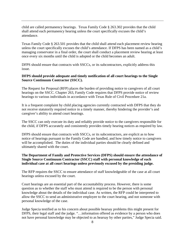child are called permanency hearings. Texas Family Code § 263.302 provides that the child shall attend each permanency hearing unless the court specifically excuses the child's attendance.

Texas Family Code § 263.501 provides that the child shall attend each placement review hearing unless the court specifically excuses the child's attendance. If DFPS has been named as a child's managing conservator in a final order, the court shall conduct a placement review hearing at least once every six months until the child is adopted or the child becomes an adult.

DFPS should ensure that contracts with SSCCs, or its subcontractors, explicitly address this issue.

## **DFPS should provide adequate and timely notification of all court hearings to the Single Source Continuum Contractor (SSCC).**

The Request for Proposal (RFP) places the burden of providing notice to caregivers of all court hearings on the SSCC. Chapter 263, Family Code requires that DFPS provide notice of review hearings to various individuals in accordance with Texas Rule of Civil Procedure 21a.

It is a frequent complaint by child placing agencies currently contracted with DFPS that they do not receive statutorily required notice in a timely manner, thereby hindering the provider's and caregiver's ability to attend court hearings.

The SSCC can only execute its duty and reliably provide notice to the caregivers responsible for the child, if DFPS accurately and consistently provides timely hearing notices as required by law.

DFPS should ensure that contracts with SSCCs, or its subcontractors, are explicit as to how notice of hearings pursuant to the Family Code are handled, and how timely notice to caregivers will be accomplished. The duties of the individual parties should be clearly defined and ultimately shared with the court.

# **The Department of Family and Protective Services (DFPS) should ensure the attendance of Single Source Continuum Contractor (SSCC) staff with personal knowledge of each individual case at all court hearings unless previously excused by the presiding judge.**

The RFP requires the SSCC to ensure attendance of staff knowledgeable of the case at all court hearings unless excused by the court.

Court hearings are an essential part of the accountability process. However, there is some question as to whether the staff who must attend is required to be the person with personal knowledge about the details of the individual case. As written, the RFP could be interpreted to allow the SSCC to send an administrative employee to the court hearing, and not someone with personal knowledge of the case.

Judge Specia testified as to his concern about possible hearsay problems this might present for DFPS, their legal staff and the judge. "…information offered as evidence by a person who does not have personal knowledge may be objected to as hearsay by other parties," Judge Specia said.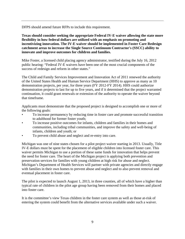DFPS should amend future RFPs to include this requirement.

**Texas should consider seeking the appropriate Federal IV-E waiver allowing the state more flexibility in how federal dollars are utilized with an emphasis on promoting and incentivizing innovation. The IV-E waiver should be implemented in Foster Care Redesign catchment areas to increase the Single Source Continuum Contractor's (SSCC) ability to innovate and improve outcomes for children and families.** 

Mike Foster, a licensed child placing agency administrator, testified during the July 16, 2012 public hearing: "Federal IV-E waivers have been one of the most crucial components of the success of redesign and reform in other states."

The Child and Family Services Improvement and Innovation Act of 2011 renewed the authority of the United States Health and Human Service Department (HHS) to approve as many as 10 demonstration projects, per year, for three years (FY 2012-FY 2014). HHS could authorize demonstration projects to last for up to five years, and if it determined that the project warranted continuation, it could grant renewals or extension of the authority to operate the waiver beyond that timeframe.

Applicants must demonstrate that the proposed project is designed to accomplish one or more of the following goals:

- To increase permanency by reducing time in foster care and promote successful transition to adulthood for former foster youth;
- To increase positive outcomes for infants, children and families in their homes and communities, including tribal communities, and improve the safety and well‐being of infants, children and youth; or
- To prevent child abuse and neglect and re-entry into care.

Michigan was one of nine states chosen for a pilot project waiver starting in 2013. Usually, Title IV-E dollars must be spent for the placement of eligible children into licensed foster care. This waiver permits Michigan to use a portion of these same funds for innovation that helps prevent the need for foster care. The heart of the Michigan project is applying both prevention and preservation services for families with young children at high risk for abuse and neglect. Michigan's Department of Health Services will partner with private agencies and directly engage with families in their own homes to prevent abuse and neglect and to also prevent removal and eventual placement in foster care.

The pilot is expected to launch August 1, 2013, in three counties, all of which have a higher than typical rate of children in the pilot age group having been removed from their homes and placed into foster care.

It is the committee's view Texas children in the foster care system as well as those at-risk of entering the system could benefit from the alternative services available under such a waiver.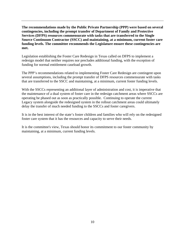**The recommendations made by the Public Private Partnership (PPP) were based on several contingencies, including the prompt transfer of Department of Family and Protective Services (DFPS) resources commensurate with tasks that are transferred to the Single Source Continuum Contractor (SSCC) and maintaining, at a minimum, current foster care funding levels. The committee recommends the Legislature ensure these contingencies are met.** 

Legislation establishing the Foster Care Redesign in Texas called on DFPS to implement a redesign model that neither requires nor precludes additional funding, with the exception of funding for normal entitlement caseload growth.

The PPP's recommendations related to implementing Foster Care Redesign are contingent upon several assumptions, including the prompt transfer of DFPS resources commensurate with tasks that are transferred to the SSCC and maintaining, at a minimum, current foster funding levels.

With the SSCCs representing an additional layer of administration and cost, it is imperative that the maintenance of a dual system of foster care in the redesign catchment areas where SSCCs are operating be phased out as soon as practically possible. Continuing to operate the current Legacy system alongside the redesigned system in the rollout catchment areas could ultimately delay the transfer of much needed funding to the SSCCs and foster caregivers.

It is in the best interest of the state's foster children and families who will rely on the redesigned foster care system that it has the resources and capacity to serve their needs.

It is the committee's view, Texas should honor its commitment to our foster community by maintaining, at a minimum, current funding levels.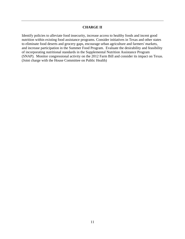## **CHARGE II**

Identify policies to alleviate food insecurity, increase access to healthy foods and incent good nutrition within existing food assistance programs. Consider initiatives in Texas and other states to eliminate food deserts and grocery gaps, encourage urban agriculture and farmers' markets, and increase participation in the Summer Food Program. Evaluate the desirability and feasibility of incorporating nutritional standards in the Supplemental Nutrition Assistance Program (SNAP). Monitor congressional activity on the 2012 Farm Bill and consider its impact on Texas. (Joint charge with the House Committee on Public Health)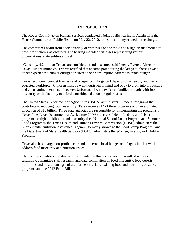# **INTRODUCTION**

The House Committee on Human Services conducted a joint public hearing in Austin with the House Committee on Public Health on May 22, 2012, to hear testimony related to the charge.

The committees heard from a wide variety of witnesses on the topic and a significant amount of new information was obtained. The hearing included witnesses representing various organizations, state entities and self.

"Currently, 4.2 million Texans are considered food insecure," said Jeremy Everett, Director, Texas Hunger Initiative. Everett testified that at some point during the last year, these Texans either experienced hunger outright or altered their consumption patterns to avoid hunger.

Texas' economic competitiveness and prosperity in large part depends on a healthy and welleducated workforce. Children must be well-nourished in mind and body to grow into productive and contributing members of society. Unfortunately, many Texas families struggle with food insecurity or the inability to afford a nutritious diet on a regular basis.

The United States Department of Agriculture (USDA) administers 15 federal programs that contribute to reducing food insecurity. Texas receives 14 of these programs with an estimated allocation of \$15 billion. Three state agencies are responsible for implementing the programs in Texas. The Texas Department of Agriculture (TDA) receives federal funds to administer programs to fight childhood food insecurity (i.e., National School Lunch Program and Summer Food Programs), the Texas Health and Human Services Commission (HHSC) administers the Supplemental Nutrition Assistance Program (formerly known as the Food Stamp Program), and the Department of State Health Services (DSHS) administers the Women, Infants, and Children Program.

Texas also has a large non-profit sector and numerous local hunger relief agencies that work to address food insecurity and nutrition issues.

The recommendations and discussions provided in this section are the result of witness testimony, committee staff research, and data compilation on food insecurity, food deserts, nutrition standards, urban agriculture, farmers markets, existing food and nutrition assistance programs and the 2012 Farm Bill.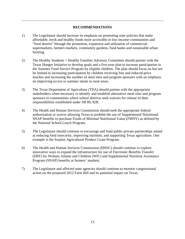# **RECOMMENDATIONS**

- 1) The Legislature should increase its emphasis on promoting state policies that make affordable, fresh and healthy foods more accessible in low-income communities and "food deserts" through the promotion, expansion and utilization of commercial supermarkets, farmers markets, community gardens, food banks and sustainable urban farming.
- 2) The Healthy Students = Healthy Families Advisory Committee should partner with the Texas Hunger Initiative to develop goals and a five-year plan to increase participation in the Summer Food Service Program by eligible children. The plan should focus on but not be limited to increasing participation by children receiving free and reduced-price lunches and increasing the number of meal sites and program sponsors with an emphasis on improving access to summer meals in rural areas.
- 3) The Texas Department of Agriculture (TDA) should partner with the appropriate stakeholders when necessary to identify and establish alternative meal sites and program sponsors in communities where school districts seek waivers for release of their responsibilities established under SB 89, 82R.
- 4) The Health and Human Services Commission should seek the appropriate federal authorization or waiver allowing Texas to prohibit the use of Supplemental Nutritional SNAP benefits to purchase Foods of Minimal Nutritional Value (FMNV) as defined by the National School Lunch Program.
- 5) The Legislature should continue to encourage and fund public-private partnerships aimed at reducing food insecurity, improving nutrition, and supporting Texas agriculture. One example is the Surplus Agricultural Product Grant Program.
- 6) The Health and Human Services Commission (HHSC) should continue to explore innovative ways to expand the infrastructure for use of Electronic Benefits Transfer (EBT) for Women, Infants and Children (WIC) and Supplemental Nutrition Assistance Program (SNAP) benefits at farmers' markets.
- 7) The Legislature and affected state agencies should continue to monitor congressional action on the proposed 2012 Farm Bill and its potential impact on Texas.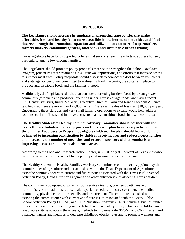## **DISCUSSION**

**The Legislature should increase its emphasis on promoting state policies that make affordable, fresh and healthy foods more accessible in low-income communities and "food deserts" through the promotion, expansion and utilization of commercial supermarkets, farmers markets, community gardens, food banks and sustainable urban farming.** 

Texas legislators have long supported policies that seek to streamline efforts to address hunger, particularly among low-income families.

The Legislature should promote policy proposals that seek to strengthen the School Breakfast Program, procedures that streamline SNAP renewal applications, and efforts that increase access to summer meal sites. Policy proposals should also seek to connect the dots between volunteers and state agency personnel committed to addressing food insecurity, the systems in place to produce and distribute food, and the families in need.

Additionally, the Legislature should also consider addressing barriers faced by urban growers, community gardeners and producers operating under Texas' cottage foods law. Citing recent U.S. Census statistics, Judith McGeary, Executive Director, Farm and Ranch Freedom Alliance, testified that there are more than 175,000 farms in Texas with sales of less than \$10,000 per year. Encouraging these start ups and very small farming operations to expand would help address food insecurity in Texas and improve access to healthy, nutritious foods in low-income areas.

**The Healthy Students = Healthy Families Advisory Committee should partner with the Texas Hunger Initiative to develop goals and a five-year plan to increase participation in the Summer Food Service Program by eligible children. The plan should focus on but not be limited to increasing participation by children receiving free and reduced-price lunches and increasing the number of meal sites and program sponsors with an emphasis on improving access to summer meals in rural areas.** 

According to the Food and Research Action Center, in 2010, only 8.5 percent of Texas kids who ate a free or reduced-price school lunch participated in summer meals programs.

The Healthy Students = Healthy Families Advisory Committee (committee) is appointed by the commissioner of agriculture and is established within the Texas Department of Agriculture to assist the commissioner with current and future issues associated with the Texas Public School Nutrition Policy, Child Nutrition Programs and other nutrition issues affecting Texas children.

The committee is composed of parents, food service directors, teachers, dieticians and nutritionists, school administrators, health specialists, education service centers, the medical community, physical education specialist and procurement. The committee is tasked with assisting the commissioner with current and future issues associated with the Texas Public School Nutrition Policy (TPSNP) and Child Nutrition Programs (CNP) including, but not limited to, identifying and recommending methods to develop a healthy lifestyle for Texas children and reasonable criteria to obtain these goals, methods to implement the TPSNP and CNP in a fair and balanced manner and methods to decrease childhood obesity rates and to promote wellness and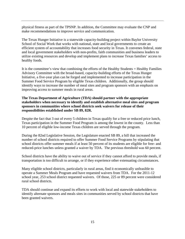physical fitness as part of the TPSNP. In addition, the Committee may evaluate the CNP and make recommendations to improve service and communication.

The Texas Hunger Initiative is a statewide capacity-building project within Baylor University School of Social Work that works with national, state and local governments to create an efficient system of accountability that increases food security in Texas. It convenes federal, state and local government stakeholders with non-profits, faith communities and business leaders to utilize existing resources and develop and implement plans to increase Texas families' access to healthy foods.

It is the committee's view that combining the efforts of the Healthy Students = Healthy Families Advisory Committee with the broad-based, capacity-building efforts of the Texas Hunger Initiative, a five-year plan can be forged and implemented to increase participation in the Summer Food Service Program by eligible Texas children. Additionally, the group should identify ways to increase the number of meal sites and program sponsors with an emphasis on improving access to summer meals in rural areas.

# **The Texas Department of Agriculture (TDA) should partner with the appropriate stakeholders when necessary to identify and establish alternative meal sites and program sponsors in communities where school districts seek waivers for release of their responsibilities established under SB 89, 82R.**

Despite the fact that 3 out of every 5 children in Texas qualify for a free or reduced price lunch, Texas participation in the Summer Food Program is among the lowest in the county. Less than 10 percent of eligible low-income Texas children are served through the program.

During the 82nd Legislative Session, the Legislature enacted SB 89, a bill that increased the number of school districts required to offer Summer Food Service Programs by stipulating that school districts offer summer meals if at least 50 percent of its students are eligible for free- and reduced-price lunches unless granted a waiver by TDA. The previous threshold was 60 percent.

School districts have the ability to waive out of service if they cannot afford to provide meals, if transportation is too difficult to arrange, or if they experience other extenuating circumstances.

Many eligible school districts, particularly in rural areas, find it economically unfeasible to operate a Summer Meals Program and have requested waivers from TDA. For the 2011-12 school year, 253 school district requested waivers. Of those, 225 or 89 percent were considered rural school districts.

TDA should continue and expand its efforts to work with local and statewide stakeholders to identify alternate sponsors and meals sites in communities served by school districts that have been granted waivers.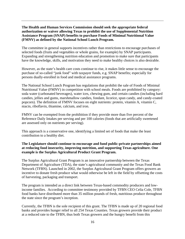# **The Health and Human Services Commission should seek the appropriate federal authorization or waiver allowing Texas to prohibit the use of Supplemental Nutrition Assistance Program (SNAP) benefits to purchase Foods of Minimal Nutritional Value (FMNV) as defined by the National School Lunch Program.**

The committee in general supports incentives rather than restrictions to encourage purchases of selected foods (fruits and vegetables or whole grains, for example) by SNAP participants. Expanding and strengthening nutrition education and promotion to make sure that participants have the knowledge, skills, and motivation they need to make healthy choices is also desirable.

However, as the state's health care costs continue to rise, it makes little sense to encourage the purchase of so-called "junk food" with taxpayer funds, e.g. SNAP benefits; especially for persons dually-enrolled in food and medical assistance programs.

The National School Lunch Program has regulations that prohibit the sale of Foods of Minimal Nutritional Value (FMNV) in competition with school meals. Foods are prohibited by category: soda water (carbonated beverages), water ices, chewing gum, and certain candies (including hard candies, jellies and gums, marshmallow candies, fondant, licorice, spun candy, and candy-coated popcorn). The definition of FMNV focuses on eight nutrients: protein, vitamin A, vitamin C, niacin, riboflavin, thiamine, calcium, and iron.

FMNV can be exempted from the prohibition if they provide more than five percent of the Reference Daily Intakes per serving and per 100 calories (foods that are artificially sweetened are assessed only on nutrients per serving).

This approach is a conservative one, identifying a limited set of foods that make the least contribution to a healthy diet.

# **The Legislature should continue to encourage and fund public-private partnerships aimed at reducing food insecurity, improving nutrition, and supporting Texas agriculture. One example is the Surplus Agricultural Product Grant Program.**

The Surplus Agricultural Grant Program is an innovative partnership between the Texas Department of Agriculture (TDA), the state's agricultural community and the Texas Food Bank Network (TFBN). Launched in 2002, the Surplus Agricultural Grant Program offers growers an incentive to donate fresh produce what would otherwise be left in the field by offsetting the costs of harvesting, packaging and transport.

The program is intended as a direct link between Texas-based commodity producers and lowincome families. According to committee testimony provided by TFBN CEO Celia Cole, TFBN food banks have distributed more than 35 million pounds of fresh, nutritious produce throughout the state since the program's inception.

Currently, the TFBN is the sole recipient of this grant. The TFBN is made up of 20 regional food banks and provides hunger relief to all 254 Texas Counties. Texas growers provide their product at a reduced rate to the TFBN, thus both Texas growers and the hungry benefit from this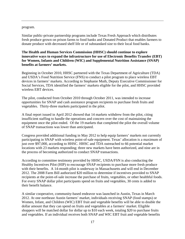#### program.

Similar public-private partnership programs include Texas Fresh Approach which distributes fresh produce grown on prison farms to food banks and Donated Product that enables farmers to donate produce with decreased shelf life or of substandard size to their local food banks.

# **The Health and Human Services Commission (HHSC) should continue to explore innovative ways to expand the infrastructure for use of Electronic Benefits Transfer (EBT) for Women, Infants and Children (WIC) and Supplemental Nutrition Assistance (SNAP) benefits at farmers' markets.**

Beginning in October 2010, HHSC partnered with the Texas Department of Agriculture (TDA) and USDA's Food Nutrition Service (FNS) to conduct a pilot program to place wireless EBT devices in farmers' markets. According to Stephanie Muth, Deputy Executive Commissioner for Social Services, TDA identified the farmers' markets eligible for the pilot, and HHSC provided wireless EBT devices.

The pilot, conducted from October 2010 through October 2011, was intended to increase opportunities for SNAP and cash assistance program recipients to purchase fresh fruits and vegetables. Thirty-three markets participated in the pilot.

A final report issued in April 2012 showed that 14 markets withdrew from the pilot, citing insufficient staffing to handle the operations and concern over the cost of maintaining the equipment once the pilot ended. Of the 19 markets that completed the pilot the overall volume of SNAP transactions was lower than anticipated.

Congress provided additional funding in May 2012 to help equip farmers' markets not currently participating in SNAP with wireless point-of-sale equipment. Texas' allocation is a maximum of just over \$97,000, according to HHSC. HHSC and TDA outreached to 66 potential market locations with 23 markets responding; three new markets have been authorized, and nine are in the process of becoming authorized to conduct SNAP transactions.

According to committee testimony provided by HHSC, USDA/FSN is also conducting the Healthy Incentives Pilot (HIP) to encourage SNAP recipients to purchase more fresh produce with their benefits. A 14-month pilot is underway in Massachusetts and will end in December 2012. The 2008 Farm Bill authorized \$20 million to determine if incentives provided to SNAP recipients at the point-of-sale increase the purchase of fruits, vegetables, or other healthful foods. For every SNAP dollar pilot participants spend on fruits and vegetables, 30 cents is added to their benefit balance.

A similar cooperative, community-based endeavor was launched in Austin, Texas in March 2012. At one northeast Austin farmers' market, individuals receiving SNAP (food stamps) or Women, Infant, and Children (WIC) EBT fruit and vegetable benefits will be able to double the dollar amount that they can spend on fruits and vegetables at a farmers' market. Eligible shoppers will be matched dollar for dollar up to \$10 each week, totaling \$20 to purchase fruits and vegetables. If an individual receives both SNAP and WIC EBT fruit and vegetable benefits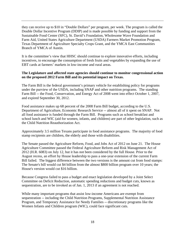they can receive up to \$10 in "Double Dollars" per program, per week. The program is called the Double Dollar Incentive Program (DDIP) and is made possible by funding and support from the Sustainable Food Center (SFC), St. David's Foundation, Wholesome Wave Foundation and Farm Aid, United States Agriculture Department (USDA) Farmers Market Promotion Program, Texas Department of Agriculture Specialty Crops Grant, and the YMCA East Communities Branch of YMCA of Austin.

It is the committee's view that HHSC should continue to explore innovative efforts, including incentives, to encourage the consumption of fresh fruits and vegetables by expanding the use of EBT cards at farmers' markets in low-income and rural areas.

## **The Legislature and affected state agencies should continue to monitor congressional action on the proposed 2012 Farm Bill and its potential impact on Texas.**

The Farm Bill is the federal government's primary vehicle for establishing policy for programs under the purview of the USDA, including SNAP and other nutrition programs. The standing Farm Bill -- the Food, Conservation, and Energy Act of 2008 went into effect October 1, 2007, and expired September 30, 2012.

Food assistance makes up 68 percent of the 2008 Farm Bill budget, according to the U.S. Department of Agriculture, Economic Research Service -- almost all of it spent on SNAP. Not all food assistance is funded through the Farm Bill. Programs such as school breakfast and school lunch and WIC (aid for women, infants, and children) are part of other legislation, such as the Child Nutrition Reauthorization Act.

Approximately 3.5 million Texans participate in food assistance programs. The majority of food stamp recipients are children, the elderly and those with disabilities.

The Senate passed the Agriculture Reform, Food, and Jobs Act of 2012 on June 21. The House Agriculture Committee passed the Federal Agriculture Reform and Risk Management Act of 2012 (H.R. 6083) on July 12, but it has not been considered by the full House. Prior to the August recess, an effort by House leadership to pass a one-year extension of the current Farm Bill failed. The biggest difference between the two versions is the amount cut from food stamps: The Senate's bill would cut \$4 billion from the almost \$800 billion program over 10 years; the House's version would cut \$16 billion.

Because Congress failed to pass a budget and enact legislation developed by a Joint Select Committee on Deficit Reduction, automatic spending reductions and budget cuts, known as sequestration, are to be invoked as of Jan. 1, 2013 if an agreement is not reached.

While many important programs that assist low-income Americans are exempt from sequestration -- including the Child Nutrition Programs, Supplemental Nutrition Assistance Program, and Temporary Assistance for Needy Families -- discretionary programs like the Women Infants and Children program (WIC), could face significant cuts.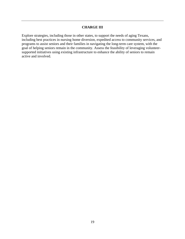# **CHARGE III**

Explore strategies, including those in other states, to support the needs of aging Texans, including best practices in nursing home diversion, expedited access to community services, and programs to assist seniors and their families in navigating the long-term care system, with the goal of helping seniors remain in the community. Assess the feasibility of leveraging volunteersupported initiatives using existing infrastructure to enhance the ability of seniors to remain active and involved.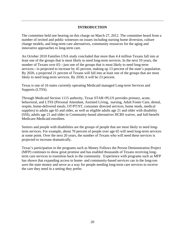# **INTRODUCTION**

The committee held one hearing on this charge on March 27, 2012. The committee heard from a number of invited and public witnesses on issues including nursing home diversion, culture change models, and long-term care alternatives, community resources for the aging and innovative approaches to long-term care.

An October 2010 Families USA study concluded that more than 4.4 million Texans fall into at least one of the groups that is most likely to need long-term services. In the next 10 years, the number of Texans over 65—just one of the groups that is most likely to need long-term services—is projected to increase by 45 percent, making up 13 percent of the state's population. By 2020, a projected 21 percent of Texans will fall into at least one of the groups that are most likely to need long-term services. By 2030, it will be 23 percent.

Texas is one of 16 states currently operating Medicaid managed Long-term Services and Supports (LTSS).

Through Medicaid Section 1115 authority, Texas STAR+PLUS provides primary, acute, behavioral, and LTSS (Personal Attendant, Assisted Living, nursing, Adult Foster Care, dental, respite, home-delivered meals, OT/PT/ST, consumer directed services, home mods, medical supplies) to adults age 65 and older, as well as eligible adults age 21 and older with disability (SSI), adults age 21 and older in Community-based alternatives HCBS waiver, and full-benefit Medicare-Medicaid enrollees.

Seniors and people with disabilities are the groups of people that are most likely to need longterm services. For example, about 70 percent of people over age 65 will need long-term services at some point. Over the next 20 years, the number of Texans who will need these services is projected to increase dramatically.

Texas's participation in the programs such as Money Follows the Person Demonstration Project (MFP) continues to show great promise and has enabled thousands of Texans receiving longterm care services to transition back to the community. Experience with programs such as MFP has shown that expanding access to home- and community-based services can in the long-run save the state money and serve as a way for people needing long-term care services to receive the care they need in a setting they prefer.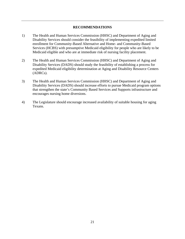## **RECOMMENDATIONS**

- 1) The Health and Human Services Commission (HHSC) and Department of Aging and Disability Services should consider the feasibility of implementing expedited limited enrollment for Community-Based Alternative and Home- and Community-Based Services (HCBS) with presumptive Medicaid eligibility for people who are likely to be Medicaid eligible and who are at immediate risk of nursing facility placement.
- 2) The Health and Human Services Commission (HHSC) and Department of Aging and Disability Services (DADS) should study the feasibility of establishing a process for expedited Medicaid eligibility determination at Aging and Disability Resource Centers (ADRCs).
- 3) The Health and Human Services Commission (HHSC) and Department of Aging and Disability Services (DADS) should increase efforts to pursue Medicaid program options that strengthen the state's Community Based Services and Supports infrastructure and encourages nursing home diversions.
- 4) The Legislature should encourage increased availability of suitable housing for aging Texans.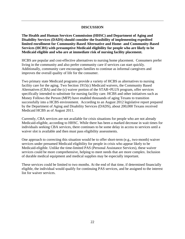## **DISCUSSION**

**The Health and Human Services Commission (HHSC) and Department of Aging and Disability Services (DADS) should consider the feasibility of implementing expedited limited enrollment for Community-Based Alternative and Home- and Community-Based Services (HCBS) with presumptive Medicaid eligibility for people who are likely to be Medicaid eligible and who are at immediate risk of nursing facility placement.** 

HCBS are popular and cost-effective alternatives to nursing home placement. Consumers prefer living in the community and also prefer community care if services can start quickly. Additionally, community care encourages families to continue as informal caregivers and improves the overall quality of life for the consumer.

Two primary state Medicaid programs provide a variety of HCBS as alternatives to nursing facility care for the aging. Two Section 1915(c) Medicaid waivers, the Community Based Alternatives (CBA) and the (c) waiver portion of the STAR+PLUS program, offer services specifically intended to substitute for nursing facility care. HCBS and other initiatives such as Money Follows the Person (MFP) have enabled thousands of aging Texans to transition successfully into a HCBS environment. According to an August 2012 legislative report prepared by the Department of Aging and Disability Services (DADS), about 200,000 Texans received Medicaid HCBS as of August 2011.

Currently, CBA services are not available for crisis situations for people who are not already Medicaid-eligible, according to HHSC. While there has been a marked decrease in wait times for individuals seeking CBA services, there continues to be some delay in access to services until a waiver slot is available and then must pass eligibility assessments.

One approach to correcting this situation would be to offer short-term (e.g., two-month) waiver services under presumed Medicaid eligibility for people in crisis who appear likely to be Medicaid-eligible. Unlike the time-limited PAS (Personal Assistance Services), these waiver services could be more comprehensive, helping to meet needs that are more complex. Inclusion of durable medical equipment and medical supplies may be especially important.

These services could be limited to two months. At the end of that time, if determined financially eligible, the individual would qualify for continuing PAS services, and be assigned to the interest list for waiver services.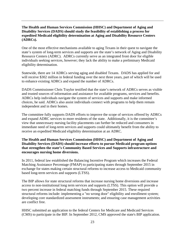# **The Health and Human Services Commission (HHSC) and Department of Aging and Disability Services (DADS) should study the feasibility of establishing a process for expedited Medicaid eligibility determination at Aging and Disability Resource Centers (ADRCs).**

One of the most effective mechanisms available to aging Texans in their quest to navigate the state's system of long-term services and supports are the state's network of Aging and Disability Resource Centers (ADRC). ADRCs currently serve as an integrated front door for eligible individuals seeking services, however; they lack the ability to make a preliminary Medicaid eligibility determination.

Statewide, there are 14 ADRCs serving aging and disabled Texans. DADS has applied for and will receive \$302 million in federal funding over the next three years, part of which will be used to enhance existing ADRCs and expand the number of ADRCs.

DADS Commissioner Chris Traylor testified that the state's network of ADRCs serves as visible and trusted sources of information and assistance for available programs, services and benefits. ADRCs help individuals navigate the system of services and supports and make informed choices, he said. ADRCs also assist individuals connect with programs to help them remain independent and in their homes.

The committee fully supports DADS efforts to improve the scope of services offered by ADRCs and expand ADRC services to more residents of the state. Additionally, it is the committee's view that unnecessary nursing facility placements can further be reduced and consumers in immediate need of long-term services and supports could ultimately benefit from the ability to receive an expedited Medicaid eligibility determination at an ADRC.

# **The Health and Human Services Commission (HHSC) and Department of Aging and Disability Services (DADS) should increase efforts to pursue Medicaid program options that strengthen the state's Community Based Services and Supports infrastructure and encourages nursing home diversions.**

In 2011, federal law established the Balancing Incentive Program which increases the Federal Matching Assistance Percentage (FMAP) to participating states through September 2015 in exchange for states making certain structural reforms to increase access to Medicaid community based long-term services and supports (LTSS).

The BIP allows for state structural reforms that increase nursing home diversions and increase access to non-institutional long term services and supports (LTSS). This option will provide a two percent increase in federal matching funds through September 2015. These required structural reforms include: implementing a "no wrong door" eligibility and enrollment system; developing core standardized assessment instruments; and ensuring case management activities are conflict free.

HHSC submitted an application to the federal Centers for Medicare and Medicaid Services (CMS) to participate in the BIP. In September 2012, CMS approved the state's BIP application.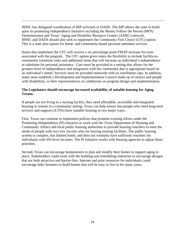HHSC has delegated coordination of BIP activities to DADS. The BIP allows the state to build upon its promoting Independence Initiative including the Money Follow the Person (MFP) Demonstration and Texas' Aging and Disability Resource Centers (ADRC) network. HHSC and DADS should also seek to implement the Community First Choice (CFC) option. This is a state plan option for home- and community-based personal attendant services.

States that implement the CFC will receive a six percentage point FMAP increase for costs associated with the program. The CFC option gives states the flexibility to include facility-tocommunity transition costs and additional items that will increase an individual's independence or substitute for personal assistance. Care must be provided in a setting that allows for the greatest level of independence and integration with the community that is appropriate based on an individual's needs. Services must be provided statewide with no enrollment caps. In addition, states must establish a Development and Implementation Council made up of seniors and people with disabilities, or their representatives, to collaborate on program design and implementation.

# **The Legislature should encourage increased availability of suitable housing for Aging Texans.**

If people are not living in a nursing facility, they need affordable, accessible and integrated housing to remain in a community setting. Texas can help ensure that people who need long-term services and supports (LTSS) have suitable housing in two major ways.

First, Texas can continue to implement policies that promote existing efforts under the Promoting Independence (PI) initiative to work with the Texas Department of Housing and Community Affairs and local public housing authorities to provide housing vouchers to meet the needs of people with very low income who are leaving nursing facilities. The public housing system is complex, has limited funds, and does not routinely have sufficient vouchers for individuals with SSI-level incomes. The PI initiative works with housing agencies to adjust those priorities.

Second, Texas can encourage homeowners to plan and modify their homes to support aging in place. Stakeholders could work with the building and remodeling industries to encourage designs that are both attractive and barrier-free. Internet and print resources for individuals could encourage baby boomers to build homes that will be easy to live in for many years.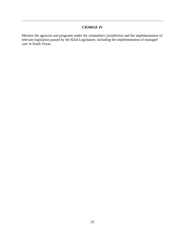# **CHARGE IV**

Monitor the agencies and programs under the committee's jurisdiction and the implementation of relevant legislation passed by the 82nd Legislature, including the implementation of managed care in South Texas.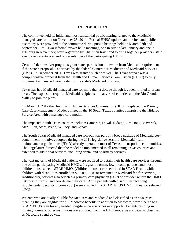# **INTRODUCTION**

The committee held its initial and most substantial public hearing related to the Medicaid managed care rollout on November 28, 2011. Formal HHSC updates and invited and public testimony were provided to the committee during public hearings held on March 27th and September 17th. Two informal "town hall" meetings, one in Austin last January and one in Edinburg in November; were organized by Chairman Raymond to bring together providers, state agency representatives and representatives of the participating HMOs.

Certain federal waiver programs grant states permission to deviate from Medicaid requirements if the state's proposal is approved by the federal Centers for Medicare and Medicaid Services (CMS). In December 2011, Texas was granted such a waiver. The Texas waiver was a comprehensive proposal from the Health and Human Services Commission (HHSC) to fully implement a managed care model for the state's Medicaid program.

Texas has had Medicaid managed care for more than a decade though it's been limited to urban areas. The expansion required Medicaid recipients in many rural counties and the Rio Grande Valley to join the plans.

On March 1, 2012 the Health and Human Services Commission (HHSC) replaced the Primary Care Case Management Model utilized in the 10 South Texas counties comprising the Hidalgo Service Area with a managed care model.

The impacted South Texas counties include: Cameron, Duval, Hidalgo, Jim Hogg, Maverick, McMullen, Starr, Webb, Willacy, and Zapata.

The South Texas Medicaid managed care roll-out was part of a broad package of Medicaid costcontainment initiatives adopted during the 2011 legislative session. Medicaid health maintenance organizations (HMO) already operate in most of Texas' metropolitan communities. The Legislature directed that the model be implemented in all remaining Texas counties and extended to additional services, including dental and pharmacy services.

The vast majority of Medicaid patients were required to obtain their health care services through one of the participating Medicaid HMOs. Pregnant women, low-income parents, and most children must select a STAR HMO. (Children in foster care enrolled in STAR Health while children with disabilities enrolled in STAR+PLUS or remained in Medicaid fee-for-service.) Additionally, patients also selected a primary care physician (PCP) or provider within the HMO network to furnish and coordinate their care. Adult patients with disabilities receiving Supplemental Security Income (SSI) were enrolled in a STAR+PLUS HMO. They too selected a PCP.

Patients who are dually-eligible for Medicare and Medicaid and classified as an "MQMB", meaning they are eligible for full Medicaid benefits in addition to Medicare, were steered to a STAR+PLUS plan for any needed long-term care services or supports. Patients residing in nursing homes or other institutions are excluded from the HMO model as are patients classified as Medicaid spend downs.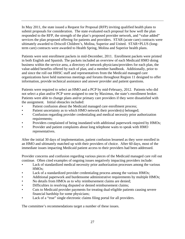In May 2011, the state issued a Request for Proposal (RFP) inviting qualified health plans to submit proposals for consideration. The state evaluated each proposal for how well the plan responded to the RFP, the strength of the plan's proposed provider network, and "value added" services the plan proposed offering for patients and providers. STAR (acute care) contracts were ultimately awarded to Driscoll Children's, Molina, Superior and United. STAR+PLUS (longterm care) contracts were awarded to Health Spring, Molina and Superior health plans.

Patients were sent enrollment packets in mid-December, 2011. Enrollment packets were printed in both English and Spanish. The packets included an overview of each Medicaid HMO doing business within the service area, a directory of network physicians/providers for each plan, the value-added benefits offered by each of plan, and a member handbook. Additionally, prior to and since the roll out HHSC staff and representatives from the Medicaid managed care organizations have held numerous meetings and forums throughout Region 11 designed to offer information, provide technical assistance and answer provider and patient questions.

Patients were required to select an HMO and a PCP by mid-February, 2012. Patients who did not select a plan and/or PCP were assigned to one by Maximus, the state's enrollment broker. Patients were able to change plans and/or primary care providers if they were dissatisfied with the assignment. Initial obstacles included:

- Patient confusion about the Medicaid managed care enrollment process;
- Patient uncertainty as to which HMO network their provider(s) belonged;
- Confusion regarding provider credentialing and medical necessity prior authorization requirements:
- Providers complained of being inundated with additional paperwork required by HMOs;
- Provider and patient complaints about long telephone waits to speak with HMO representatives.

After the initial 30 days of implementation, patient confusion lessened as they were enrolled in an HMO and ultimately matched up with their providers of choice. After 60 days, most of the immediate issues impacting Medicaid patient access to their providers had been addressed.

Provider concerns and confusion regarding various pieces of the Medicaid managed care roll out continue. Often cited examples of ongoing issues negatively impacting providers include:

- Lack of standardized medical necessity prior authorization processes among the various HMOs;
- Lack of a standardized provider credentialing process among the various HMOs;
- Additional paperwork and burdensome administrative requirements by multiple HMOs;
- No details from HMOs as to why reimbursement claims are denied;
- Difficulties in resolving disputed or denied reimbursement claims;
- Cuts to Medicaid provider payments for treating dual-eligible patients causing severe financial hardship for some physicians;
- Lack of a "true" single electronic claims filing portal for all providers.

The committee's recommendations target a number of these issues.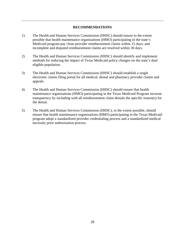## **RECOMMENDATIONS**

- 1) The Health and Human Services Commission (HHSC) should ensure to the extent possible that health maintenance organizations (HMO) participating in the state's Medicaid program pay clean provider reimbursement claims within 15 days; and incomplete and disputed reimbursement claims are resolved within 30 days.
- 2) The Health and Human Services Commission (HHSC) should identify and implement methods for reducing the impact of Texas Medicaid policy changes on the state's dual eligible population.
- 3) The Health and Human Services Commission (HHSC) should establish a single electronic claims filing portal for all medical, dental and pharmacy provider claims and appeals.
- 4) The Health and Human Services Commission (HHSC) should ensure that health maintenance organizations (HMO) participating in the Texas Medicaid Program increase transparency by including with all reimbursement claim denials the specific reason(s) for the denial.
- 5) The Health and Human Services Commission (HHSC), to the extent possible, should ensure that health maintenance organizations (HMO) participating in the Texas Medicaid program adopt a standardized provider credentialing process and a standardized medical necessity prior authorization process.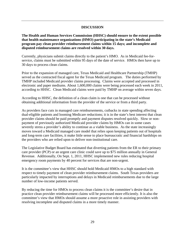## **DISCUSSION**

**The Health and Human Services Commission (HHSC) should ensure to the extent possible that health maintenance organizations (HMO) participating in the state's Medicaid program pay clean provider reimbursement claims within 15 days; and incomplete and disputed reimbursement claims are resolved within 30 days.** 

Currently, physicians submit claims directly to the patient's HMO. As in Medicaid fee-forservice, claims must be submitted within 95 days of the date of service. HMOs then have up to 30 days to process clean claims.

Prior to the expansion of managed care, Texas Medicaid and Healthcare Partnership (TMHP) served as the contracted fiscal agent for the Texas Medicaid program. The duties performed by TMHP included Medicaid provider claims processing. Claims were accepted and processed in electronic and paper mediums. About 1,600,000 claims were being processed each week in 2011, according to HHSC. Clean Medicaid claims were paid by TMHP on average within seven days.

According to HHSC, the definition of a clean claim is one that can be processed without obtaining additional information from the provider of the service or from a third party.

As providers face cuts in managed care reimbursements, cutbacks in state spending affecting dual-eligible patients and looming Medicare reductions; it is in the state's best interest that clean provider claims should be paid promptly and payment disputes resolved quickly. Slow or nonpayment of previously authorized Medicaid provider claims by HMOs can in some cases severely stress a provider's ability to continue as a viable business. As the state increasingly moves toward a Medicaid managed care model that relies upon keeping patients out of hospitals and long-term care facilities, it make little sense to place bureaucratic and financial hardships on the providers who are relied upon to deliver non-institutional care.

The Legislative Budget Board has estimated that diverting patients from the ER to their primary care provider (PCP) or an urgent care clinic could save up to \$75 million annually in General Revenue. Additionally, On Sept. 1, 2011, HHSC implemented new rules reducing hospital emergency room payments by 40 percent for services that are non-urgent.

It is the committee's view that HHSC should hold Medicaid HMOs to a high standard with respect to timely payment of clean provider reimbursement claims. South Texas providers are particularly impacted by interruptions and delays in Medicaid reimbursements due to the large number of low-income patients served.

By reducing the time for HMOs to process clean claims it is the committee's desire that in practice clean provider reimbursement claims will be processed more efficiently. It is also the committee's view that HMOs should assume a more proactive role in assisting providers with resolving incomplete and disputed claims in a more timely manner.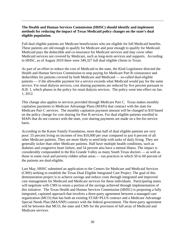# **The Health and Human Services Commission (HHSC) should identify and implement methods for reducing the impact of Texas Medicaid policy changes on the state's dual eligible population.**

Full dual eligible patients are Medicare beneficiaries who are eligible for full Medicaid benefits. These patients are old enough to qualify for Medicare and poor enough to qualify for Medicaid. Medicaid pays the deductible and co-insurance for Medicare services and may cover other Medicaid services not covered by Medicare, such as long-term services and supports. According to HHSC, as of August 2010 there were 349,327 full dual eligible clients in Texas.

As part of an effort to reduce the cost of Medicaid to the state, the 82nd Legislature directed the Health and Human Services Commission to stop paying for Medicare Part B coinsurance and deductibles for patients covered by both Medicare and Medicaid — so-called dual-eligible patients — if the allowable payment for a service exceeds what Medicaid would pay for the same service. For renal dialysis services, cost sharing payments are reduced by five percent pursuant to H.B. 1, which phases in the policy for renal dialysis services. The policy went into effect on Jan. 1, 2012.

This change also applies to services provided through Medicare Part C. Texas makes monthly capitation payments to Medicare Advantage Plans (MAPs) that contract with the state for Medicare Part C services. The monthly capitation payment amount will be changed to \$10 based on the policy change for cost sharing for Part B services. For dual eligible patients enrolled in MAPs that do not contract with the state, cost sharing payments are made on a fee-for-service basis.

According to the Kaiser Family Foundation, more than half of dual eligible patients are very poor: 55 percent living on incomes of less \$10,000 per year compared to just 6 percent of all other Medicare patients. They are more likely to need help with tasks of daily living. They are generally sicker than other Medicare patients. Half have multiple health conditions, such as diabetes and congestive heart failure, and 54 percent also have a mental illness. The impact is considerably compounded in the Rio Grande Valley as many South Texas doctors — as well as those in some rural and poverty-ridden urban areas — run practices in which 50 to 60 percent of the patients are dual-eligible.

Last May, HHSC submitted an application to the Centers for Medicare and Medicaid Services (CMS) seeking to establish the Texas Dual Eligible Integrated Care Project. The goal of this demonstration project is to achieve savings and reduce costs through integrated and improved care management for Medicaid and Medicare services for these individuals. Participating states will negotiate with CMS to retain a portion of the savings achieved through implementation of this initiative. The Texas Health and Human Services Commission (HHSC) is proposing a fully integrated, capitated approach that involves a three-party agreement between a managed care organization (MCO) that has both an existing STAR+PLUS contract and a Medicare Advantage Special Needs Plan (MA/SNP) contract with the federal government. The three-party agreement will be between that MCO, the state and CMS for the provision of full array of Medicaid and Medicare services.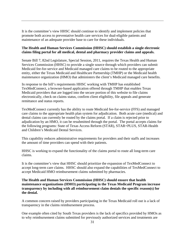It is the committee's view HHSC should continue to identify and implement policies that promote both access to preventative health care services for dual-eligible patients and maintenance of an adequate provider base to care for these individuals.

# **The Health and Human Services Commission (HHSC) should establish a single electronic claims filing portal for all medical, dental and pharmacy provider claims and appeals.**

Senate Bill 7, 82nd Legislature, Special Session, 2011, requires the Texas Health and Human Services Commission (HHSC) to provide a single source through which providers can submit Medicaid fee-for-service and Medicaid managed care claims to be routed to the appropriate entity, either the Texas Medicaid and Healthcare Partnership (TMHP) or the Medicaid health maintenance organization (HMO) that administers the client's Medicaid managed care benefits.

In response to the bill's requirements HHSC working with TMHP has established TexMedConnect, a browser-based application offered through TMHP that enables Texas Medicaid providers that are logged into the secure portion of this website to file claims electronically, check on claims status, confirm client eligibility, file appeals and generate remittance and status reports.

TexMedConnect currently has the ability to route Medicaid fee-for-service (FFS) and managed care claims to the appropriate health plan system for adjudication. Both acute care (medical) and dental claims can currently be routed by the claims portal. If a claim is rejected prior to adjudication by an HMO, it can be resubmitted through the portal. The portal accepts claims for the following programs: State of Texas Access Reform (STAR), STAR+PLUS, STAR-Health and Children's Medicaid Dental Services.

This capability reduces administrative requirements for providers and their staffs and increases the amount of time providers can spend with their patients.

HHSC is working to expand the functionality of the claims portal to route all long-term care claims.

It is the committee's view that HHSC should prioritize the expansion of TexMedConnect to accept long-term care claims. HHSC should also expand the capabilities of TexMedConnect to accept Medicaid HMO reimbursement claims submitted by pharmacies.

# **The Health and Human Services Commission (HHSC) should ensure that health maintenance organizations (HMO) participating in the Texas Medicaid Program increase transparency by including with all reimbursement claim denials the specific reason(s) for the denial.**

A common concern raised by providers participating in the Texas Medicaid roll out is a lack of transparency in the claims reimbursement process.

One example often cited by South Texas providers is the lack of specifics provided by HMOs as to why reimbursement claims submitted for previously authorized services and treatments are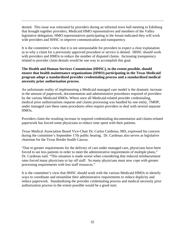denied. This issue was reiterated by providers during an informal town hall meeting in Edinburg that brought together providers, Medicaid HMO representatives and members of the Valley legislative delegation. HMO representatives participating in the forum indicated they will work with providers and HHSC to improve communication and transparency.

It is the committee's view that it is not unreasonable for providers to expect a clear explanation as to why a claim for a previously approved procedure or service is denied. HHSC should work with providers and HMOs to reduce the number of disputed claims. Increasing transparency related to provider claim denials would be one way to accomplish this goal.

# **The Health and Human Services Commission (HHSC), to the extent possible, should ensure that health maintenance organizations (HMO) participating in the Texas Medicaid program adopt a standardized provider credentialing process and a standardized medical necessity prior authorization process.**

An unfortunate reality of implementing a Medicaid managed care model is the dramatic increase in the amount of paperwork, documentation and administrative procedures required of providers by the various Medicaid HMOs. Where once all Medicaid-related provider credentialing, medical prior authorizations requests and claims processing was handled by one entity, TMHP, under managed care these same procedures often require providers to deal with several separate HMOs.

Providers claim the resulting increase in required credentialing documentation and claims-related paperwork has forced some physicians to reduce time spent with their patients.

Texas Medical Association Board Vice-Chair Dr. Carlos Cardenas, MD, expressed his concern during the committee's September 17th public hearing. Dr. Cardenas also serves as legislative chairman for the Texas Border health Caucus.

"Due to greater requirements for the delivery of care under managed care, physicians have been forced to see less patients in order to meet the administrative requirements of multiple plans," Dr. Cardenas said. "This situation is made worse when considering that reduced reimbursement rates forced many physicians to lay off staff. So many physicians must now cope with greater processing requirements with less staff resources."

It is the committee's view that HHSC should work with the various Medicaid HMOs to identify ways to coordinate and streamline their administrative requirements to reduce duplicity and reduce paperwork. Standardizing the provider credentialing process and medical necessity prior authorization process to the extent possible would be a good start.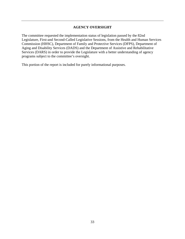# **AGENCY OVERSIGHT**

The committee requested the implementation status of legislation passed by the 82nd Legislature, First-and Second-Called Legislative Sessions, from the Health and Human Services Commission (HHSC), Department of Family and Protective Services (DFPS), Department of Aging and Disability Services (DADS) and the Department of Assistive and Rehabilitative Services (DARS) in order to provide the Legislature with a better understanding of agency programs subject to the committee's oversight.

This portion of the report is included for purely informational purposes.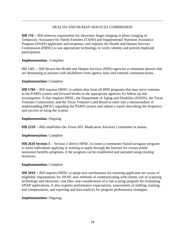# HEALTH AND HUMAN SERVICES COMMISSION

**HB 710** -- Bill removes requirement for electronic finger imaging or photo imaging of Temporary Assistance for Needy Families (TANF) and Supplemental Nutrition Assistance Program (SNAP) applicants and recipients, and requires the Health and Human Services Commission (HHSC) to use appropriate technology to verify identity and prevent duplicate participation.

# **Implementation:** Complete

HB 1481 -- Bill directs the Health and Human Services (HHS) agencies to eliminate phrases that are demeaning to persons with disabilities from agency rules and external communications.

# **Implementation:** Complete

**HB 1784** -- Bill requires HHSC to submit data from all HHS programs that may serve veterans to the PARIS system and forward results to the appropriate agencies for follow up and investigation. It also requires HHSC, the Department of Aging and Disability (DADS), the Texas Veterans Commission, and the Texas Veterans Land Board to enter into a memorandum of understanding (MOU) regarding the PARIS system and submit a report describing the frequency and success of using the system.

# **Implementation:** Ongoing

**HB 2229** -- Bill establishes the Texas HIV Medication Advisory Committee in statute.

# **Implementation:** Complete

**HB 2610 Section 1** -- Section 1 directs HHSC to create a community-based navigator program to assist individuals applying or seeking to apply through the Internet for certain public assistance benefits programs, if the program can be established and operated using existing resources.

# **Implementation:** Complete

**HB 2819** -- Bill requires HHSC to adopt new mechanisms for ensuring applicants are aware of eligibility requirements for SNAP, new methods of communicating with clients, use of scanning technology and electronic case files, and consideration of a risk-scoring program for evaluating SNAP applications. It also requires performance expectations, assessments of staffing, training, and compensation, and reporting and data analysis for program performance strategies.

# **Implementation:** Ongoing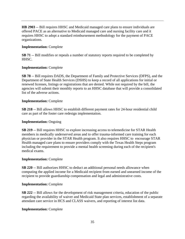**HB 2903** -- Bill requires HHSC and Medicaid managed care plans to ensure individuals are offered PACE as an alternative to Medicaid managed care and nursing facility care and it requires HHSC to adopt a standard reimbursement methodology for the payment of PACE organizations.

## **Implementation:** Complete

**SB 71** -- Bill modifies or repeals a number of statutory reports required to be completed by HHSC.

## **Implementation:** Complete

**SB 78** -- Bill requires DADS, the Department of Family and Protective Services (DFPS), and the Department of State Health Services (DSHS) to keep a record of all applications for initial or renewed licenses, listings or registrations that are denied. While not required by the bill, the agencies will submit their monthly reports to an HHSC database that will provide a consolidated list of the adverse actions.

## **Implementation:** Complete

**SB 218** -- Bill allows HHSC to establish different payment rates for 24-hour residential child care as part of the foster care redesign implementation.

## **Implementation:** Ongoing

**SB 219** -- Bill requires HHSC to explore increasing access to telemedicine for STAR Health members in medically underserved areas and to offer trauma-informed care training for each physician or provider in the STAR Health program. It also requires HHSC to encourage STAR Health managed care plans to ensure providers comply with the Texas Health Steps program including the requirement to provide a mental health screening during each of the recipient's medical exams.

## **Implementation:** Complete

**SB 220** -- Bill authorizes HHSC to deduct an additional personal needs allowance when computing the applied income for a Medicaid recipient from earned and unearned income of the recipient to provide guardianship compensation and legal and administrative costs.

# **Implementation:** Complete

**SB 222** -- Bill allows for the development of risk management criteria, education of the public regarding the availability of waiver and Medicaid State plan services, establishment of a separate attendant care service in HCS and CLASS waivers, and reporting of interest list data.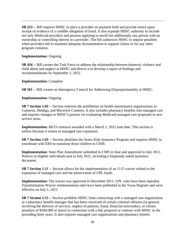**SB 223** -- Bill requires HHSC to place a provider on payment hold and provide notice upon receipt of evidence of a credible allegation of fraud. It also expands HHSC authority to include not only Medicaid providers and persons applying to enroll but additionally any person with an ownership or controlling interest in a provider. The bill authorizes HHSC to impose penalties when providers fail to maintain adequate documentation to support claims or for any other program violation.

# **Implementation:** Ongoing

**SB 434** -- Bill creates the Task Force to address the relationship between domestic violence and child abuse and neglect at HHSC and directs it to develop a report of findings and recommendations by September 1, 2012.

**Implementation:** Complete

**SB 501** -- Bill creates an Interagency Council for Addressing Disproportionality at HHSC.

**Implementation:** Ongoing

**SB 7 Section 1.02** -- Section removes the prohibition on health maintenance organizations in Cameron, Hidalgo, and Maverick Counties. It also includes pharmacy benefits into managed care and requires changes to HHSC's process for evaluating Medicaid managed care proposals in new service areas.

**Implementation:** MCO contracts awarded with a March 1, 2012 start date. This section is yellow because it relates to managed care expansion.

**SB 7 Section 1.03** -- Section abolishes the States Kids Insurance Program and requires HHSC to coordinate with ERS to transition those children to CHIP**.** 

**Implementation:** State Plan Amendment submitted to CMS in June and approved in July 2011. Notices to eligible individuals sent in July 2011, including a frequently asked questions document.

**SB 7 Section 1.11** -- Section allows for the implementation of an 1115 waiver related to the expansion of managed care and the preservation of UPL funds.

**Implementation:** The waiver was approved in December 2011. UPL rules have been repealed. Transformation Waiver reimbursement rules have been published in the Texas Register and were effective on July 1, 2012

**SB 7 Section 1.15** -- Section prohibits HHSC from contracting with a managed care organization or a pharmacy benefit manager that has been convicted of certain criminal offenses (in general, involving the delivery of services, neglect of patients, fraud, financial misconduct, or certain penalties of \$500,000 or more) in connection with a bid, proposal or contract with HHSC in the preceding three years. It also requires managed care organizations and pharmacy benefit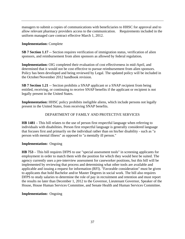managers to submit a copies of communications with beneficiaries to HHSC for approval and to allow relevant pharmacy providers access to the communication. Requirements included in the uniform managed care contract effective March 1, 2012.

# **Implementation:** Complete

**SB 7 Section 1.17** -- Section requires verification of immigration status, verification of alien sponsors, and reimbursement from alien sponsors as allowed by federal regulation**.** 

**Implementation:** OIG completed their evaluation of cost effectiveness in mid-April, and determined that it would not be cost effective to pursue reimbursement from alien sponsors. Policy has been developed and being reviewed by Legal. The updated policy will be included in the October/November 2012 handbook revision.

**SB 7 Section 1.21** -- Section prohibits a SNAP applicant or a SNAP recipient from being entitled, receiving, or continuing to receive SNAP benefits if the applicant or recipient is not legally present in the United States.

**Implementation:** HHSC policy prohibits ineligible aliens, which include persons not legally present in the United States, from receiving SNAP benefits.

# DEPARTMENT OF FAMILY AND PROTECTIVE SERVICES

**HB 1481** – This bill relates to the use of person first respectful language when referring to individuals with disabilities. Person first respectful language is generally considered language that focuses first and primarily on the individual rather than on his/her disability - such as "a person with mental illness" as opposed to "a mentally ill person."

# **Implementation:** Ongoing

**HB 753** – This bill requires DFPS to use "special assessment tools" in screening applicants for employment in order to match them with the position for which they would best be suited. The agency currently uses a pre-interview assessment for caseworker positions, but this bill will be implemented by reviewing that process and determining what other tools are available and applicable and issuing a request for information (RFI). "Favorable consideration" must be given to applicants that hold Bachelor and/or Master Degrees in social work. The bill also requires DFPS to study salaries to determine the role of pay in recruitment and retention and must report the results no later than December 1, 2012 to the Governor, Lieutenant Governor, Speaker of the House, House Human Services Committee, and Senate Health and Human Services Committee.

# **Implementation:** Ongoing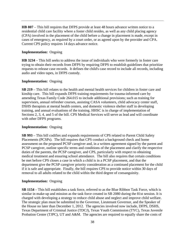**HB 807** – This bill requires that DFPS provide at least 48 hours advance written notice to a residential child care facility where a foster child resides, as well as any child placing agency (CPA) involved in the placement of the child before a change in placement is made, except in cases of emergency, as required by a court order, or as agreed upon by the provider and CPA. Current CPS policy requires 14 days advance notice.

### **Implementation:** Ongoing

**HB 3234** – This bill seeks to address the issue of individuals who were formerly in foster care trying to obtain their records from DFPS by requiring DFPS to establish guidelines that prioritize requests to release case records. It defines the child's case record to include all records, including audio and video tapes, in DFPS custody.

#### **Implementation:** Ongoing

**SB 219** – This bill relates to the health and mental health services for children in foster care and kinship care. This bill expands DFPS training requirements for trauma-informed care by amending Texas Family Code 264.015 to include additional provisions; such as training for supervisors, annual refresher courses, assisting CASA volunteers, child advocacy center staff, DSHS therapists at mental health centers, and domestic violence shelter staff in developing training, and annual evaluations of the training. HHSC is in charge of implementation of Sections 2, 3, 4, and 5 of the bill. CPS Medical Services will serve as lead and will coordinate with other DFPS programs.

#### **Implementation:** Ongoing

**SB 993** – This bill codifies and expands requirements of CPS related to Parent Child Safety Placements (PCSPs). The bill requires that CPS conduct a background check and home assessment on the proposed PCSP caregiver and, in a written agreement signed by the parent and PCSP caregiver, outline specific terms and conditions of the placement and clarify the respective duties of the parents, the PCSP caregiver, and CPS, particularly with respect to obtaining medical treatment and ensuring school attendance. The bill also requires that certain conditions be met before CPS closes a case in which a child is in a PCSP placement, and that the department give the PCSP caregiver priority consideration as a continued placement for the child if it is safe and appropriate. Finally, the bill requires CPS to provide notice within 30 days of removal to all adults related to the child within the third degree of consanguinity.

#### **Implementation:** Ongoing

**SB 1154** – This bill establishes a task force, referred to as the Blue Ribbon Task Force, which is similar in make-up and mission as the task force created in SB 2080 during the 81st session. It is charged with developing a strategy to reduce child abuse and neglect and improve child welfare. The strategic plan must be submitted to the Governor, Lieutenant Governor, and the Speaker of the House no later than December 1, 2012. The agencies involved now include, DFPS, DSHS, Texas Department of Criminal Justice (TDCJ), Texas Youth Commission (TYC), Texas Juvenile Probation Center (TJPC), UT and A&M. The agencies are required to equally share the costs of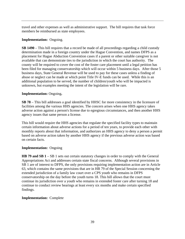travel and other expenses as well as administrative support. The bill requires that task force members be reimbursed as state employees.

# **Implementation:** Ongoing.

**SB 1490** – This bill requires that a record be made of all proceedings regarding a child custody determination made in a foreign country under the Hague Convention, and names DFPS as a placement for Hague Abduction Convention cases if a parent or other suitable caregiver is not available that can demonstrate ties to the jurisdiction in which the court has authority. The county will be required to cover the cost of the foster care placement until a legal petition has been filed for managing conservatorship which will occur within 5 business days. After those 5 business days, State General Revenue will be used to pay for these cases unless a finding of abuse or neglect can be made at which point Title IV-E funds can be used. While this is an additional population to be served, the number of children/youth who will be impacted is unknown, but examples meeting the intent of the legislation will be rare.

# **Implementation:** Ongoing**.**

**SB 78** – This bill addresses a goal identified by HHSC for more consistency in the licensure of facilities among the various HHS agencies. The concern arises when one HHS agency takes adverse action against a person's license due to egregious circumstances, and then another HHS agency issues that same person a license.

This bill would require the HHS agencies that regulate the specified facility types to maintain certain information about adverse actions for a period of ten years, to provide each other with monthly reports about that information, and authorizes an HHS agency to deny a person a permit based on adverse action taken by another HHS agency if the previous adverse action was based on certain facts.

# **Implementation:** Ongoing

**HB 79 and SB 1** – SB 1 sets out certain statutory changes in order to comply with the General Appropriations Act and addresses certain state fiscal concerns. Although several provisions in SB 1 are of interest to DFPS, the only provisions requiring implementation action are in Article 63, which contains the same provisions that are in HB 79 of the Special Session concerning the extended jurisdiction of a family law court over a CPS youth who remains in DFPS conservatorship on the day before the youth turns 18. This bill allows that the court must continue its jurisdiction over a youth who remains in extended foster care after turning 18 and continue to conduct review hearings at least every six months and make certain specified findings.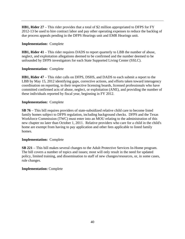**HB1, Rider 27** – This rider provides that a total of \$2 million appropriated to DFPS for FY 2012-13 be used to hire contract labor and pay other operating expenses to reduce the backlog of due process appeals pending in the DFPS Hearings unit and EMR Hearings unit.

# **Implementation:** Complete

**HB1, Rider 41** – This rider requires DADS to report quarterly to LBB the number of abuse, neglect, and exploitation allegations deemed to be confirmed and the number deemed to be unfounded by DFPS investigators for each State Supported Living Center (SSLC).

## **Implementation:** Complete

**HB1, Rider 47** – This rider calls on DFPS, DSHS, and DADS to each submit a report to the LBB by May 15, 2012 identifying gaps, corrective actions, and efforts taken toward interagency coordination on reporting, to their respective licensing boards, licensed professionals who have committed confirmed acts of abuse, neglect, or exploitation (ANE), and providing the number of these individuals reported by fiscal year, beginning in FY 2012.

## **Implementation:** Complete

**SB 76** – This bill requires providers of state-subsidized relative child care to become listed family homes subject to DFPS regulation, including background checks. DFPS and the Texas Workforce Commission (TWC) must enter into an MOU relating to the administration of this new chapter no later than October 1, 2011. Relative providers who care for a child in the child's home are exempt from having to pay application and other fees applicable to listed family homes.

## **Implementation:** Complete

**SB 221** – This bill makes several changes to the Adult Protective Services In-Home program. The bill covers a number of topics and issues; most will only result in the need for updated policy, limited training, and dissemination to staff of new changes/resources, or, in some cases, rule changes.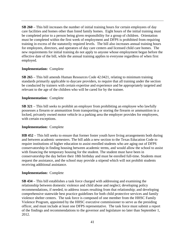**SB 260** – This bill increases the number of initial training hours for certain employees of day care facilities and homes other than listed family homes. Eight hours of the initial training must be completed prior to a person being given responsibility for a group of children. Orientation must be completed within the first week of employment and DFPS is prohibited from requiring training in excess of the statutorily required levels. The bill also increases annual training hours for employees, directors, and operators of day care centers and licensed child care homes. The new requirements for initial training do not apply to anyone whose employment began before the effective date of the bill, while the annual training applies to everyone regardless of when first employed.

## **Implementation:** Complete

**SB 265** – This bill amends Human Resources Code 42.0421, relating to minimum training standards primarily applicable to daycare providers, to require that all training under the section be conducted by trainers with certain expertise and experience and be appropriately targeted and relevant to the age of the children who will be cared for by the trainee.

## **Implementation:** Complete

**SB 321** – This bill seeks to prohibit an employer from prohibiting an employee who lawfully possesses a firearm or ammunition from transporting or storing the firearm or ammunition in a locked, privately owned motor vehicle in a parking area the employer provides for employees, with certain exceptions.

## **Implementation:** Complete

**HB 452** – This bill seeks to ensure that former foster youth have living arrangements both during and between academic semesters. The bill adds a new section to the Texas Education Code to require institutions of higher education to assist enrolled students who are aging out of DFPS conservatorship in finding housing between academic terms, and would allow the school to assist with financing the temporary housing for the student. The student must have been in conservatorship the day before their 18th birthday and must be enrolled full-time. Students must request the assistance, and the school may provide a stipend which will not prohibit students receiving additional assistance.

## **Implementation:** Complete

**SB 434** – This bill establishes a task force charged with addressing and examining the relationship between domestic violence and child abuse and neglect; developing policy recommendations, if needed, to address issues resulting from that relationship; and developing comprehensive statewide best practice guidelines for both child protective services and family violence shelter centers. The task force is composed of one member from the HHSC Family Violence Program, appointed by the HHSC executive commissioner to serve as the presiding officer, and must include at least one DFPS representative. The task force must submit a report of the findings and recommendations to the governor and legislature no later than September 1, 2012.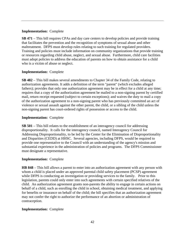## **Implementation:** Complete

**SB 471** – This bill requires CPAs and day care centers to develop policies and provide training that facilitates the prevention and the recognition of symptoms of sexual abuse and other maltreatment. DFPS must develop rules relating to such training for regulated providers. Training and policies must include information on community organizations that provide training or resources regarding child abuse, neglect, and sexual abuse. Furthermore, child care facilities must adopt policies to address the education of parents on how to obtain assistance for a child who is a victim of abuse or neglect.

## **Implementation:** Complete

**SB 482** – This bill makes several amendments to Chapter 34 of the Family Code, relating to authorization agreements. It adds a definition of the term "parent" (which excludes alleged fathers); provides that only one authorization agreement may be in effect for a child at any time; requires that a copy of the authorization agreement be mailed to a non-signing parent by certified mail, return receipt requested (subject to certain exceptions); and waives the duty to mail a copy of the authorization agreement to a non-signing parent who has previously committed an act of violence or sexual assault against the other parent, the child, or a sibling of the child unless the non-signing parent has court-ordered rights of possession or access to the child.

## **Implementation:** Complete

**SB 501** – This bill relates to the establishment of an interagency council for addressing disproportionality. It calls for the interagency council, named Interagency Council for Addressing Disproportionality, to be led by the Center for the Elimination of Disproportionality and Disparities (CEDD) at HHSC. Several agencies, including DFPS, would be required to provide one representative to the Council with an understanding of the agency's mission and substantial experience in the administration of policies and programs. The DFPS Commissioner must designate a representative.

# **Implementation:** Complete

**HB 848** – This bill allows a parent to enter into an authorization agreement with any person with whom a child is placed under an approved parental child safety placement (PCSP) agreement while DFPS is conducting an investigation or providing services to the family. Prior to this legislation, parents could only enter into such agreements with certain specified relatives of the child. An authorization agreement grants non-parents the ability to engage in certain actions on behalf of a child, such as enrolling the child in school, obtaining medical treatment, and applying for benefits or insurance on behalf of the child; the bill specifies that an authorization agreement may not confer the right to authorize the performance of an abortion or administration of contraception.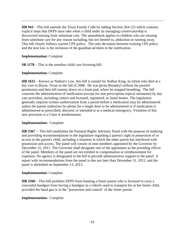**HB 943** – This bill amends the Texas Family Code by adding Section 264.123 which contains explicit steps that DFPS must take when a child under its managing conservatorship is discovered missing from substitute care. The amendment applies to children who are missing from substitute care for any reason including, but not limited to, abduction or running away. This bill closely follows current CPS policy. The only deviation between existing CPS policy and the new law is the inclusion of the guardian ad litem in the notification.

# **Implementation:** Complete

**SB 1178** – This is the omnibus child care licensing bill.

## **Implementation:** Complete

**HB 1615** – Known as Nathan's Law, this bill is named for Nathan King, an infant who died at a day care in Bryan, Texas in the fall of 2008. He was given Benadryl without his parents' permission and then left tummy down on a foam pad, where he stopped breathing. The bill concerns the administration of medication (except for non-prescription topical ointments) by day care providers, including centers and licensed, registered, or listed homes. The legislation generally requires written authorization from a parent before a medication may be administered unless the parent authorizes by phone for a single dose to be administered or if medication is administered as prescribed, directed, or intended to in a medical emergency. Violation of this new provision is a Class A misdemeanor.

# **Implementation:** Complete

**HB 2367** -- This bill establishes the Parental Rights Advisory Panel with the purpose of studying and providing recommendations to the legislature regarding a parent's right to possession of or access to the parent's child, including a situation in which the other parent has interfered with possession and access. The panel will consist of nine members appointed by the Governor by December 31, 2011. The Governor shall designate one of the appointees as the presiding officer of the panel. Members of the panel are not entitled to compensation or reimbursement for expenses. No agency is designated in the bill to provide administrative support to the panel. A report with recommendations from the panel is due not later than December 31, 2012, and the panel is abolished on September 13, 2013.

## **Implementation:** Complete

**HB 2560** – This bill prohibits DFPS from banning a foster parent who is licensed to carry a concealed handgun from having a handgun in a vehicle used to transport his or her foster child, provided the hand gun is in the "possession and control" of the foster parent.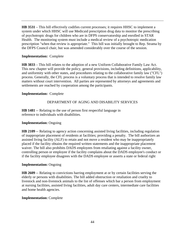**HB 3531** – This bill effectively codifies current processes; it requires HHSC to implement a system under which HHSC will use Medicaid prescription drug data to monitor the prescribing of psychotropic drugs for children who are in DFPS conservatorship and enrolled in STAR Health. The monitoring system must include a medical review of a psychotropic medication prescription "when that review is appropriate." This bill was initially brought to Rep. Strama by the DFPS Council chair, but was amended considerably over the course of the session.

# **Implementation:** Complete

**HB 3833** – This bill relates to the adoption of a new Uniform Collaborative Family Law Act. This new chapter will provide the policy, general provisions, including definitions, applicability, and uniformity with other states, and procedures relating to the collaborative family law ("CFL") process. Generally, the CFL process is a voluntary process that is intended to resolve family law matters without court intervention. All parties are represented by attorneys and agreements and settlements are reached by cooperation among the participants.

## **Implementation:** Complete

# DEPARTMENT OF AGING AND DISABILITY SERVICES

**HB 1481** -- Relating to the use of person first respectful language in reference to individuals with disabilities.

## **Implementation:** Ongoing

**HB 2109** -- Relating to agency action concerning assisted living facilities, including regulation of inappropriate placement of residents at facilities; providing a penalty. The bill authorizes an assisted living facility (ALF) to retain and not move a resident who may be inappropriately placed if the facility obtains the required written statements and the inappropriate placement waiver. The bill also prohibits DADS employees from retaliating against a facility owner, controlling person or employee if the facility complains about the DADS employee's conduct or if the facility employee disagrees with the DADS employee or asserts a state or federal right

## **Implementation:** Ongoing

**HB 2609** -- Relating to convictions barring employment at or by certain facilities serving the elderly or persons with disabilities. The bill added obstruction or retaliation and cruelty to livestock and non-livestock animals to the list of offenses which bar a person from employment at nursing facilities, assisted living facilities, adult day care centers, intermediate care facilities and home health agencies.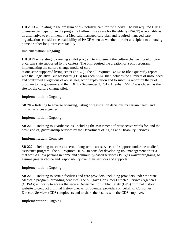**HB 2903** -- Relating to the program of all-inclusive care for the elderly. The bill required HHSC to ensure participation in the program of all-inclusive care for the elderly (PACE) is available as an alternative to enrollment in a Medicaid managed care plan and required managed care organizations consider the availability of PACE when co whether to refer a recipient to a nursing home or other long-term care facility.

## Implementation: **Ongoing**

**HB 3197** -- Relating to creating a pilot program to implement the culture change model of care at certain state supported living centers. The bill required the creation of a pilot program implementing the culture change model of care at one state supported living center (SSLC). The bill required DADS to file a quarterly report with the Legislative Budget Board (LBB) for each SSLC that includes the numbers of unfounded and confirmed allegations of abuse, neglect or exploitation and to submit a report on the pilot program to the governor and the LBB by September 1, 2012. Brenham SSLC was chosen as the

## **Implementation:** Ongoing

site for the culture change pilot.

**SB 78** -- Relating to adverse licensing, listing or registration decisions by certain health and human services agencies.

## **Implementation:** Ongoing

**SB 220** -- Relating to guardianships, including the assessment of prospective wards for, and the provision of, guardianship services by the Department of Aging and Disability Services.

## **Implementation:** Complete

**SB 222** -- Relating to access to certain long-term care services and supports under the medical assistance program. The bill required HHSC to consider developing risk management criteria that would allow persons in home and community-based services (1915(c) waiver programs) to assume greater choice and responsibility over their services and supports.

## **Implementation:** Ongoing

**SB 223** -- Relating to certain facilities and care providers, including providers under the state Medicaid program; providing penalties. The bill gave Consumer Directed Services Agencies (CDSAs) authority to access the secure Department of Public Safety (DPS) criminal history website to conduct criminal history checks for potential providers on behalf of Consumer Directed Services (CDS) employers and to share the results with the CDS employer.

## **Implementation:** Ongoing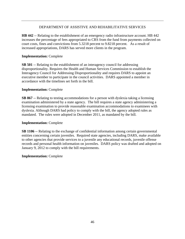# DEPARTMENT OF ASSISTIVE AND REHABILITATIVE SERVICES

**HB 442** -- Relating to the establishment of an emergency radio infrastructure account. HB 442 increases the percentage of fees appropriated to CRS from the fund from payments collected on court costs, fines and convictions from 5.3218 percent to 9.8218 percent. As a result of increased appropriations, DARS has served more clients in the program.

# **Implementation:** Complete

**SB 501** -- Relating to the establishment of an interagency council for addressing disproportionality. Requires the Health and Human Services Commission to establish the Interagency Council for Addressing Disproportionality and requires DARS to appoint an executive member to participate in the council activities. DARS appointed a member in accordance with the timelines set forth in the bill.

# **Implementation:** Complete

**SB 867** -- Relating to testing accommodations for a person with dyslexia taking a licensing examination administered by a state agency. The bill requires a state agency administering a licensing examination to provide reasonable examination accommodations to examinees with dyslexia. Although DARS had policy to comply with the bill, the agency adopted rules as mandated. The rules were adopted in December 2011, as mandated by the bill.

# **Implementation:** Complete

**SB 1106** -- Relating to the exchange of confidential information among certain governmental entities concerning certain juveniles. Required state agencies, including DARS, make available to other agencies that provide services to a juvenile any educational records, juvenile offense records and personal health information on juveniles. DARS policy was drafted and adopted on January 9, 2012 to comply with the bill requirements.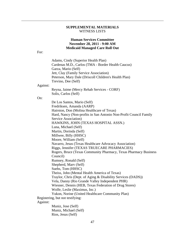#### **SUPPLEMENTAL MATERIALS**  WITNESS LISTS

## **Human Services Committee November 28, 2011 - 9:00 AM Medicaid Managed Care Roll Out**

For:

 Adams, Cindy (Superior Health Plan) Cardenas M.D., Carlos (TMA - Border Health Caucus) Garza, Mario (Self) Jett, Clay (Family Service Association) Peterson, Mary Dale (Driscoll Children's Health Plan) Trevino, Dee (Self)

#### Against:

 Reyna, Jaime (Mercy Rehab Services - CORF) Solis, Carlos (Self)

#### On:

 De Los Santos, Mario (Self) Fredriksen, Amanda (AARP) Hairston, Don (Molina Healthcare of Texas) Hard, Nancy (Non-profits in San Antonio Non-Profit Council Family Service Association) HAWKINS, JOHN (TEXAS HOSPITAL ASSN.) Luna, Michael (Self) Martin, Dorinda (Self) Millwee, Billy (HHSC) Moore, William (Self) Navarro, Jesus (Texas Healthcare Advocacy Association) Riggs, Jennifer (TEXAS TRUECARE PHARMACIES) Rogers, Bruce (Texas Community Pharmacy, Texas Pharmacy Business Council) Rumsey, Ronald (Self) Shepherd, Marv (Self) Suehs, Tom (HHSC) Theiss, John (Mental Health America of Texas) Traylor, Chris (Dept. of Aging & Disability Services (DADS)) Vela, Danny (Rio Grande Valley Independent PHR) Wiesner, Dennis (HEB, Texas Federation of Drug Stores) Wolfe, Leslie (Maximus, Inc.) Yukon, Norine (United Healthcare Community Plan) Registering, but not testifying: Against: Muniz, Jose (Self) Muniz, Michael (Self) Rios, Jesus (Self)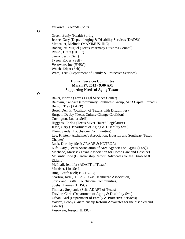Villarreal, Yolanda (Self)

On:

 Green, Benjy (Health Spring) Jessee, Gary (Dept. of Aging & Disability Services (DADS)) Metteauer, Melinda (MAXIMUS, INC) Rodriguez, Miguel (Texas Pharmacy Business Council) Rymal, Greta (HHSC) Saenz, Jesus (Self) Tyson, Robert (Self) Vesowate, Joe (HHSC) Walsh, Edgar (Self) Ware, Terri (Department of Family & Protective Services)

## **Human Services Committee March 27, 2012 - 9:00 AM Supporting Needs of Aging Texans**

On:

 Baker, Norma (Texas Legal Services Center) Baldwin, Candace (Community Southwest Group, NCB Capital Impact) Berndt, Trey (AARP) Borel, Dennis (Coalition of Texans with Disabilities) Burgett, Debby (Texas Culture Change Coalition) Covington, Lucila (Self) Higgens, Carlos (Texas Silver-Haired Legislature) Jesse, Gary (Department of Aging & Disability Svs.) Klein, Sandy (Touchstone Communities) Lee, Kristen (Alzheimer's Association, Houston and Southeast Texas Chapter) Luck, Dorothy (Self; GRADE & NOTEGA) Luft, Gary (Texas Association of Area Agencies on Aging (T4A)) Machado, Marissa (Texas Association for Home Care and Hospice) McGinty, Ione (Guardianship Reform Advocates for the Disabled & Elderly) McPhail, Jennifer (ADAPT of Texas) Morriset, Lin (Self) Ring, Latifa (Self; NOTEGA) Scarbro, Jodi (THCA - Texas Healthcare Association) Strickland, Britta (Touchstone Communities) Suehs, Thomas (HHSC) Thomas, Stephanie (Self; ADAPT of Texas) Traylor, Chris (Department of Aging & Disability Svs.) Urban, Karl (Department of Family & Protective Services) Valdez, Debby (Guardianship Reform Advocates for the disabled and elderly) Vesowate, Joseph (HHSC)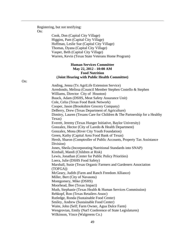Registering, but not testifying: On:

 Cook, Don (Capital City Village) Higgins, Pam (Capital City Village) Hoffman, Leslie Sue (Capital City Village) Thomas, Dyana (Capital City Village) Vasper, Beth (Capital City Village) Warren, Kevin (Texas State Veterans Home Program)

## **Human Services Committee May 22, 2012 - 10:00 AM Food Nutrition (Joint Hearing with Public Health Committee)**

Anding, Jenna (Tx AgriLife Extension Service)

Arredondo, Melissa (Council Member Stephen Costello & Stephen Williams, Director City of Houston) Buuck, Adam (DSHS, Meat Safety Assurance Unit) Cole, Celia (Texas Food Bank Network) Cooper, Jason (Brookshire Grocery Company) DeBerry, Drew (Texas Department of Agriculture) Dimitry, Lauren (Texans Care for Children & The Partnership for a Healthy Texas) Everett, Jeremy (Texas Hunger Initiative, Baylor University) Gonzalez, Hector (City of Laredo & Health Department) Gonzalez, Mona (River City Youth Foundation) Green, Kathy (Capital Area Food Bank of Texas) Hersh, Sharon (Comptroller of Public Accounts, Property Tax Assistance Division) Jones, Sheila (Incorporating Nutritional Standards into SNAP) Kimball, Mandi (Children at Risk) Lewis, Jonathan (Center for Public Policy Priorities) Loera, Julie (DSHS Food Safety) Marshall, Susie (Texas Organic Farmers and Gardeners Association (TOFGA)) McGeary, Judith (Farm and Ranch Freedom Alliance) Miller, Bert (City of Navasota) Montgomery, Mike (DSHS) Moorhead, Bee (Texas Impact) Muth, Stephanie (Texas Health & Human Services Commission) Rehkopf, Ron (Texas Retailers Assoc) Rutledge, Ronda (Sustainable Food Center) Smiley, Andrew (Sustainable Food Center) Waite, John (Self; Farm Owner, Agua Dulce Farm) Wengrovian, Emily (Nat'l Conference of State Legislatures)

Wilkinson, Vince (Walgreens Co.)

On: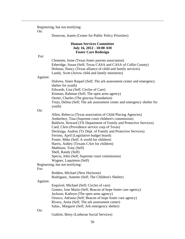Registering, but not testifying:

On:

Donovan, Jeanie (Center for Public Policy Priorities)

# **Human Services Committee July 16, 2012 - 10:00 AM Foster Care Redesign**

For:

 Clements, Irene (Texas foster parents association) Etheridge, Susan (Self; Texas CASA and CASA of Collin County) Holman, Nancy (Texas alliance of child and family services) Lundy, Scott (Arrow child and family ministries)

# Against:

Dolores, Sister Raquel (Self; The ark assessment center and emergency shelter for youth) Edwards, Lisa (Self; Circles of Care) Kinman, Rahman (Self; The open arms agency) Oerter, Charles (The giocosa Foundation) Trejo, Delma (Self; The ark assessment center and emergency shelter for youth)

#### On:

 Allen, Rebecca (Texas association of Child Placing Agencies) Amberboy, Tina (Supreme court children's commission) Baldwin, Howard (TX Department of Family and Protective Services) Card, Chris (Providence service corp of Texas) Deckinga, Audrey (Tx Dept. of Family and Protective Services) Ferrino, April (Legislative budget board) Foster, Mike (Self; A world for children) Harris, Ashley (Texans CAre for children) Mathison, Tony (Self) Shell, Randy (Self) Specia, John (Self; Supreme court commission) Wagner, Laquinton (Self)

Registering, but not testifying:

#### For:

 Redden, Michael (New Horizons) Rodriguez, Annette (Self; The Children's Shelter)

#### Against:

 Esquivel, Michael (Self; Circles of care) Gomez, Jose Mario (Self; Beacon of hope foster care agency) Jackson, Kathryn (The open arms agency) Orozco, Adriana (Self; Beacon of hope foster care agency) Rivera, Anita (Self; The ark assessment center) Salas., Margaret (Self; Ark emergency shelter)

#### On:

Guthrie, Betsy (Lutheran Social Services)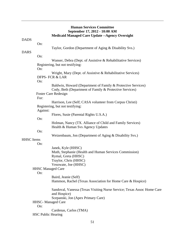# **Human Services Committee September 17, 2012 - 10:00 AM Medicaid Managed Care Update --Agency Oversight**

| <b>DADS</b>       |                           |                                                                                        |
|-------------------|---------------------------|----------------------------------------------------------------------------------------|
|                   | On:                       |                                                                                        |
|                   |                           | Taylor, Gordon (Department of Aging & Disability Svs.)                                 |
| <b>DARS</b>       |                           |                                                                                        |
|                   | On:                       |                                                                                        |
|                   |                           | Wanser, Debra (Dept. of Assistive & Rehabilitative Services)                           |
|                   |                           | Registering, but not testifying:                                                       |
|                   | On:                       | Wright, Mary (Dept. of Assistive & Rehabilitative Services)                            |
|                   |                           | <b>DFPS-FCR &amp; LAR</b>                                                              |
|                   | On:                       |                                                                                        |
|                   |                           | Baldwin, Howard (Department of Family & Protective Services)                           |
|                   |                           | Cody, Beth (Department of Family & Protective Services)                                |
|                   |                           | Foster Care Redesign                                                                   |
|                   | For:                      |                                                                                        |
|                   |                           | Harrison, Lee (Self; CASA volunteer from Corpus Christi)                               |
|                   |                           | Registering, but not testifying:                                                       |
|                   | Against:                  |                                                                                        |
|                   | On:                       | Flores, Susie (Parental Rights U.S.A.)                                                 |
|                   |                           | Holman, Nancy (TX. Alliance of Child and Family Services)                              |
|                   |                           | Health & Human Svs Agency Updates                                                      |
|                   | On:                       |                                                                                        |
|                   |                           | Weizenbaum, Jon (Department of Aging & Disability Svs.)                                |
| <b>HHSC</b> Items |                           |                                                                                        |
|                   | On:                       |                                                                                        |
|                   |                           | Janek, Kyle (HHSC)                                                                     |
|                   |                           | Muth, Stephanie (Health and Human Services Commission)                                 |
|                   |                           | Rymal, Greta (HHSC)                                                                    |
|                   |                           | Traylor, Chris (HHSC)<br>Vesowate, Joe (HHSC)                                          |
|                   | <b>HHSC</b> Managed Care  |                                                                                        |
|                   | On:                       |                                                                                        |
|                   |                           | Baird, Jeanie (Self)                                                                   |
|                   |                           | Hammon, Rachel (Texas Association for Home Care & Hospice)                             |
|                   |                           | Sandoval, Vanessa (Texas Visiting Nurse Service; Texas Assoc Home Care<br>and Hospice) |
|                   |                           | Scepanski, Jon (Apex Primary Care)                                                     |
|                   |                           | <b>HHSC-</b> Managed Care                                                              |
|                   | On:                       |                                                                                        |
|                   |                           | Cardenas, Carlos (TMA)                                                                 |
|                   | <b>HSC Public Hearing</b> |                                                                                        |